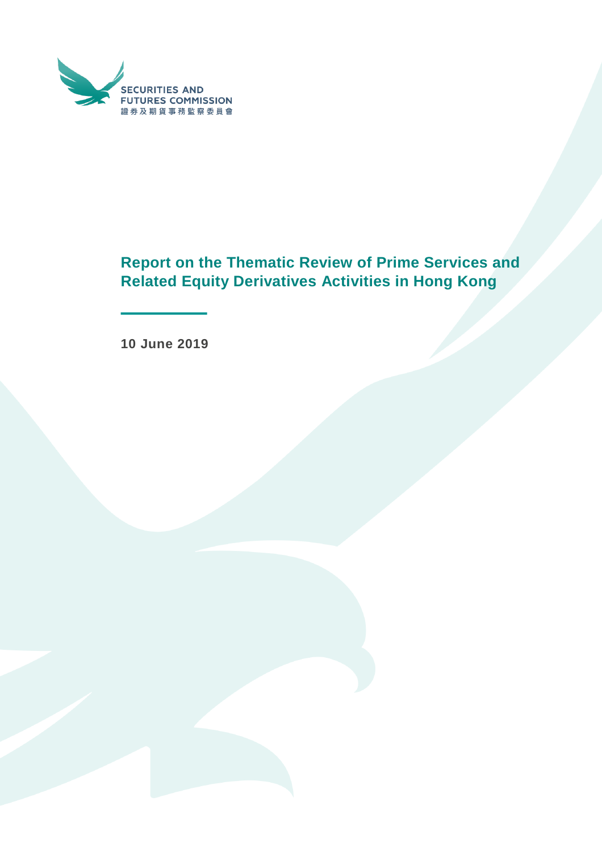

# **Report on the Thematic Review of Prime Services and Related Equity Derivatives Activities in Hong Kong**

**10 June 2019**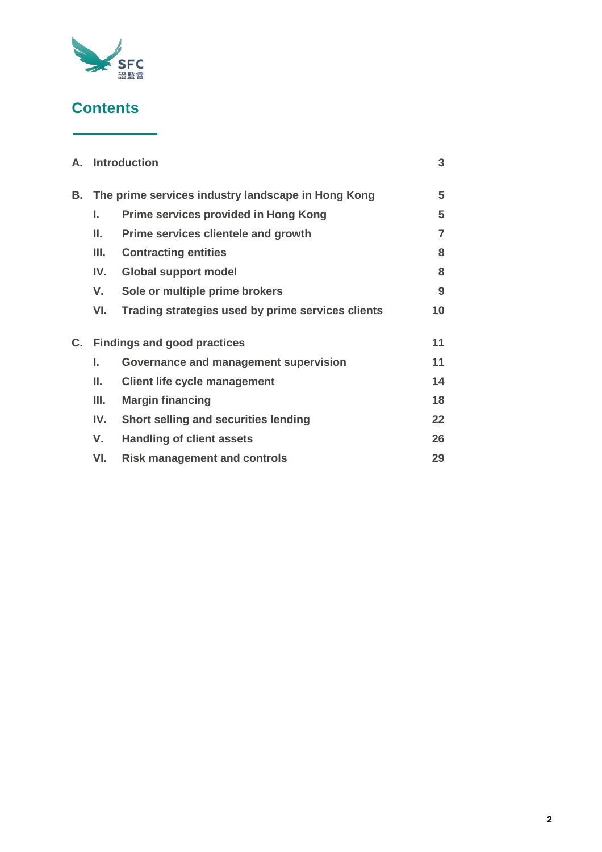

# **Contents**

|    | A. Introduction                                    |                                                   |                |
|----|----------------------------------------------------|---------------------------------------------------|----------------|
| В. | The prime services industry landscape in Hong Kong |                                                   |                |
|    | L.                                                 | <b>Prime services provided in Hong Kong</b>       | 5              |
|    | Ш.                                                 | Prime services clientele and growth               | $\overline{7}$ |
|    | Ш.                                                 | <b>Contracting entities</b>                       | 8              |
|    | IV.                                                | <b>Global support model</b>                       | 8              |
|    | V.                                                 | Sole or multiple prime brokers                    | 9              |
|    | VI.                                                | Trading strategies used by prime services clients | 10             |
| C. | <b>Findings and good practices</b>                 |                                                   |                |
|    | L.                                                 | Governance and management supervision             | 11             |
|    | ΙΙ.                                                | <b>Client life cycle management</b>               | 14             |
|    | Ш.                                                 | <b>Margin financing</b>                           | 18             |
|    | IV.                                                | Short selling and securities lending              | 22             |
|    | V.                                                 | <b>Handling of client assets</b>                  | 26             |
|    | VI.                                                | <b>Risk management and controls</b>               | 29             |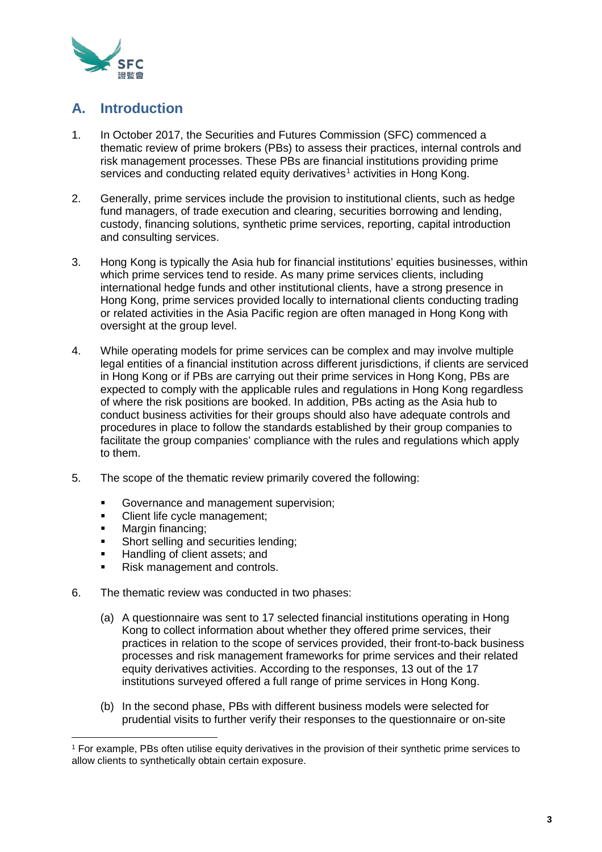

# **A. Introduction**

- 1. In October 2017, the Securities and Futures Commission (SFC) commenced a thematic review of prime brokers (PBs) to assess their practices, internal controls and risk management processes. These PBs are financial institutions providing prime services and conducting related equity derivatives<sup>[1](#page-2-0)</sup> activities in Hong Kong.
- 2. Generally, prime services include the provision to institutional clients, such as hedge fund managers, of trade execution and clearing, securities borrowing and lending, custody, financing solutions, synthetic prime services, reporting, capital introduction and consulting services.
- 3. Hong Kong is typically the Asia hub for financial institutions' equities businesses, within which prime services tend to reside. As many prime services clients, including international hedge funds and other institutional clients, have a strong presence in Hong Kong, prime services provided locally to international clients conducting trading or related activities in the Asia Pacific region are often managed in Hong Kong with oversight at the group level.
- 4. While operating models for prime services can be complex and may involve multiple legal entities of a financial institution across different jurisdictions, if clients are serviced in Hong Kong or if PBs are carrying out their prime services in Hong Kong, PBs are expected to comply with the applicable rules and regulations in Hong Kong regardless of where the risk positions are booked. In addition, PBs acting as the Asia hub to conduct business activities for their groups should also have adequate controls and procedures in place to follow the standards established by their group companies to facilitate the group companies' compliance with the rules and regulations which apply to them.
- 5. The scope of the thematic review primarily covered the following:
	- Governance and management supervision;<br>Client life cycle management:
	- Client life cycle management;
	- Margin financing;

- **Short selling and securities lending;**
- Handling of client assets; and
- Risk management and controls.
- 6. The thematic review was conducted in two phases:
	- (a) A questionnaire was sent to 17 selected financial institutions operating in Hong Kong to collect information about whether they offered prime services, their practices in relation to the scope of services provided, their front-to-back business processes and risk management frameworks for prime services and their related equity derivatives activities. According to the responses, 13 out of the 17 institutions surveyed offered a full range of prime services in Hong Kong.
	- (b) In the second phase, PBs with different business models were selected for prudential visits to further verify their responses to the questionnaire or on-site

<span id="page-2-0"></span><sup>1</sup> For example, PBs often utilise equity derivatives in the provision of their synthetic prime services to allow clients to synthetically obtain certain exposure.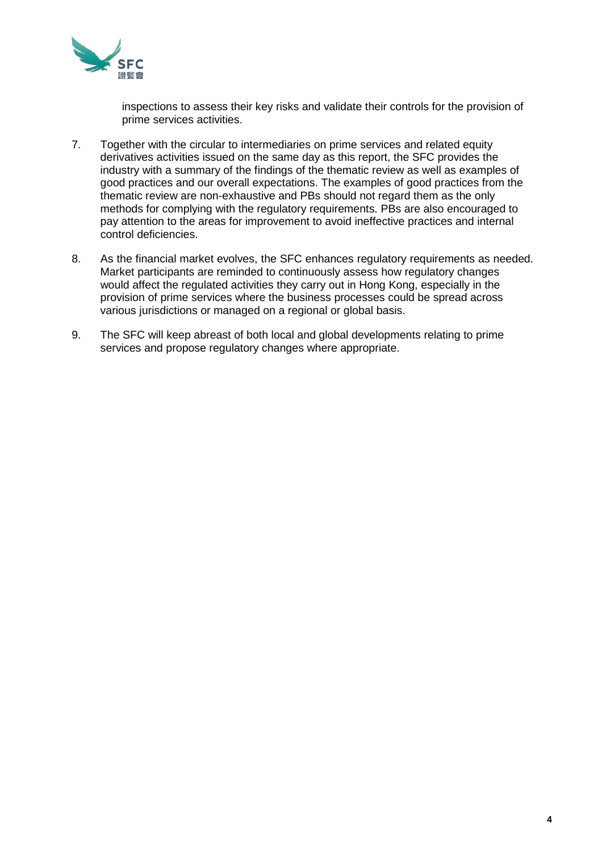

inspections to assess their key risks and validate their controls for the provision of prime services activities.

- 7. Together with the circular to intermediaries on prime services and related equity derivatives activities issued on the same day as this report, the SFC provides the industry with a summary of the findings of the thematic review as well as examples of good practices and our overall expectations. The examples of good practices from the thematic review are non-exhaustive and PBs should not regard them as the only methods for complying with the regulatory requirements. PBs are also encouraged to pay attention to the areas for improvement to avoid ineffective practices and internal control deficiencies.
- 8. As the financial market evolves, the SFC enhances regulatory requirements as needed. Market participants are reminded to continuously assess how regulatory changes would affect the regulated activities they carry out in Hong Kong, especially in the provision of prime services where the business processes could be spread across various jurisdictions or managed on a regional or global basis.
- 9. The SFC will keep abreast of both local and global developments relating to prime services and propose regulatory changes where appropriate.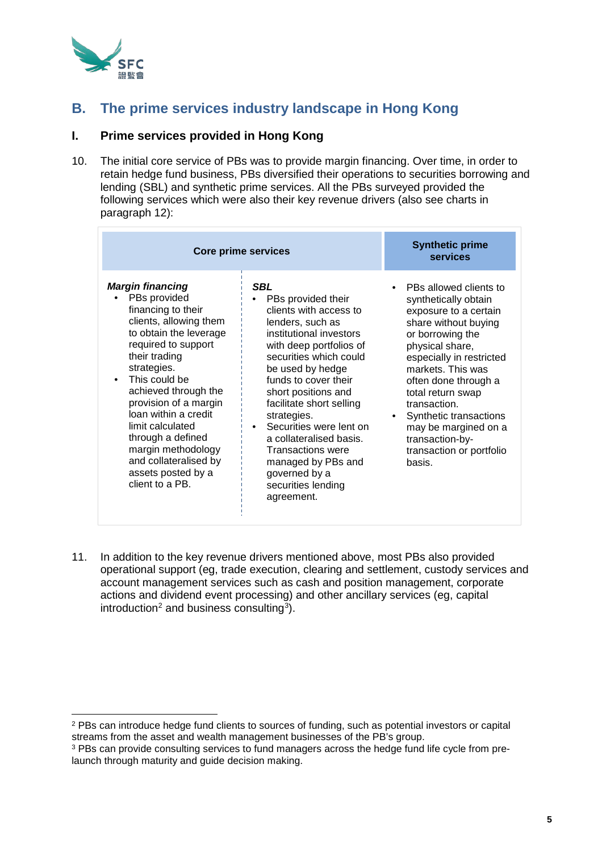

# **B. The prime services industry landscape in Hong Kong**

# **I. Prime services provided in Hong Kong**

10. The initial core service of PBs was to provide margin financing. Over time, in order to retain hedge fund business, PBs diversified their operations to securities borrowing and lending (SBL) and synthetic prime services. All the PBs surveyed provided the following services which were also their key revenue drivers (also see charts in paragraph 12):

| <b>Core prime services</b>                                                                                                                                                                                                                                                                                                                                                                          | <b>Synthetic prime</b><br>services                                                                                                                                                                                                                                                                                                                                                                                                 |                                                                                                                                                                                                                                                                                                                                                                 |
|-----------------------------------------------------------------------------------------------------------------------------------------------------------------------------------------------------------------------------------------------------------------------------------------------------------------------------------------------------------------------------------------------------|------------------------------------------------------------------------------------------------------------------------------------------------------------------------------------------------------------------------------------------------------------------------------------------------------------------------------------------------------------------------------------------------------------------------------------|-----------------------------------------------------------------------------------------------------------------------------------------------------------------------------------------------------------------------------------------------------------------------------------------------------------------------------------------------------------------|
| <b>Margin financing</b><br>PBs provided<br>financing to their<br>clients, allowing them<br>to obtain the leverage<br>required to support<br>their trading<br>strategies.<br>This could be<br>achieved through the<br>provision of a margin<br>loan within a credit<br>limit calculated<br>through a defined<br>margin methodology<br>and collateralised by<br>assets posted by a<br>client to a PB. | SBL<br>PBs provided their<br>clients with access to<br>lenders, such as<br>institutional investors<br>with deep portfolios of<br>securities which could<br>be used by hedge<br>funds to cover their<br>short positions and<br>facilitate short selling<br>strategies.<br>Securities were lent on<br>a collateralised basis.<br><b>Transactions were</b><br>managed by PBs and<br>governed by a<br>securities lending<br>agreement. | PBs allowed clients to<br>synthetically obtain<br>exposure to a certain<br>share without buying<br>or borrowing the<br>physical share,<br>especially in restricted<br>markets. This was<br>often done through a<br>total return swap<br>transaction.<br>Synthetic transactions<br>may be margined on a<br>transaction-by-<br>transaction or portfolio<br>basis. |

11. In addition to the key revenue drivers mentioned above, most PBs also provided operational support (eg, trade execution, clearing and settlement, custody services and account management services such as cash and position management, corporate actions and dividend event processing) and other ancillary services (eg, capital introduction<sup>[2](#page-4-0)</sup> and business consulting<sup>[3](#page-4-1)</sup>).

<span id="page-4-0"></span><sup>2</sup> PBs can introduce hedge fund clients to sources of funding, such as potential investors or capital streams from the asset and wealth management businesses of the PB's group.

<span id="page-4-1"></span><sup>&</sup>lt;sup>3</sup> PBs can provide consulting services to fund managers across the hedge fund life cycle from prelaunch through maturity and guide decision making.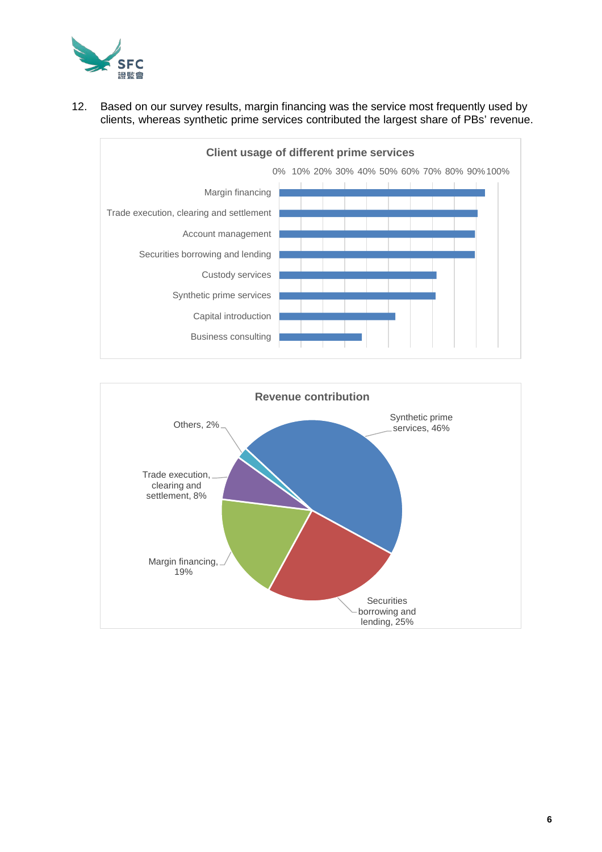

## 12. Based on our survey results, margin financing was the service most frequently used by clients, whereas synthetic prime services contributed the largest share of PBs' revenue.



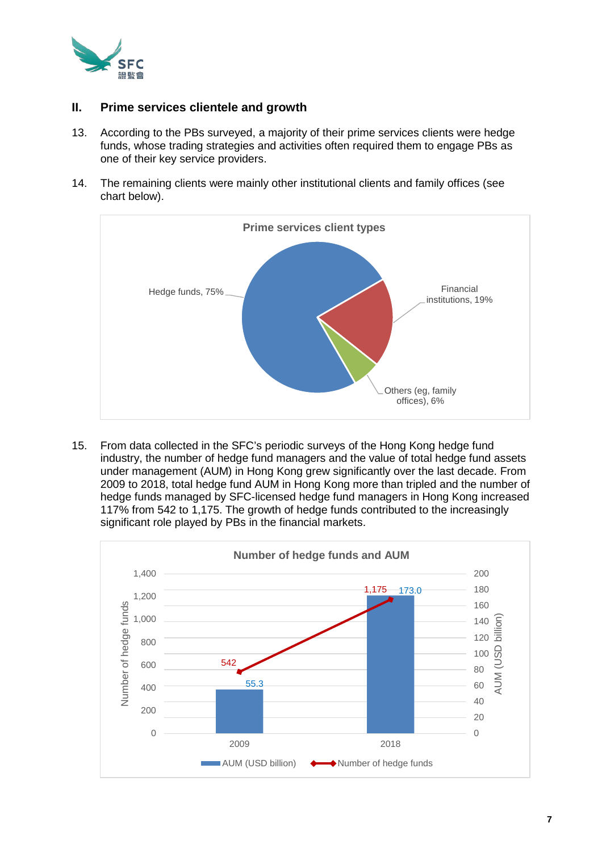

## **II. Prime services clientele and growth**

- 13. According to the PBs surveyed, a majority of their prime services clients were hedge funds, whose trading strategies and activities often required them to engage PBs as one of their key service providers.
- 14. The remaining clients were mainly other institutional clients and family offices (see chart below).



15. From data collected in the SFC's periodic surveys of the Hong Kong hedge fund industry, the number of hedge fund managers and the value of total hedge fund assets under management (AUM) in Hong Kong grew significantly over the last decade. From 2009 to 2018, total hedge fund AUM in Hong Kong more than tripled and the number of hedge funds managed by SFC-licensed hedge fund managers in Hong Kong increased 117% from 542 to 1,175. The growth of hedge funds contributed to the increasingly significant role played by PBs in the financial markets.

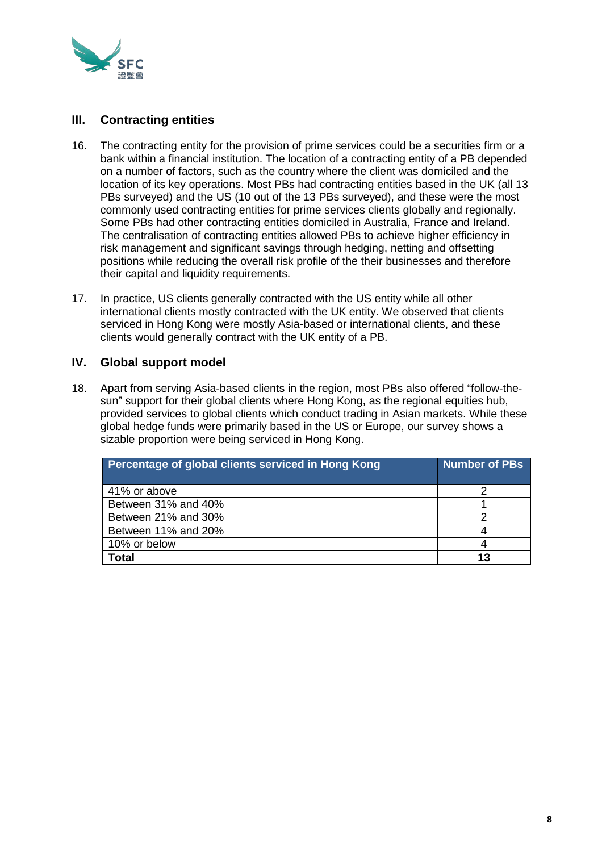

# **III. Contracting entities**

- 16. The contracting entity for the provision of prime services could be a securities firm or a bank within a financial institution. The location of a contracting entity of a PB depended on a number of factors, such as the country where the client was domiciled and the location of its key operations. Most PBs had contracting entities based in the UK (all 13 PBs surveyed) and the US (10 out of the 13 PBs surveyed), and these were the most commonly used contracting entities for prime services clients globally and regionally. Some PBs had other contracting entities domiciled in Australia, France and Ireland. The centralisation of contracting entities allowed PBs to achieve higher efficiency in risk management and significant savings through hedging, netting and offsetting positions while reducing the overall risk profile of the their businesses and therefore their capital and liquidity requirements.
- 17. In practice, US clients generally contracted with the US entity while all other international clients mostly contracted with the UK entity. We observed that clients serviced in Hong Kong were mostly Asia-based or international clients, and these clients would generally contract with the UK entity of a PB.

# **IV. Global support model**

18. Apart from serving Asia-based clients in the region, most PBs also offered "follow-thesun" support for their global clients where Hong Kong, as the regional equities hub, provided services to global clients which conduct trading in Asian markets. While these global hedge funds were primarily based in the US or Europe, our survey shows a sizable proportion were being serviced in Hong Kong.

| Percentage of global clients serviced in Hong Kong | Number of PBs. |
|----------------------------------------------------|----------------|
| 41% or above                                       |                |
| Between 31% and 40%                                |                |
| Between 21% and 30%                                |                |
| Between 11% and 20%                                |                |
| 10% or below                                       |                |
| <b>Total</b>                                       | 13             |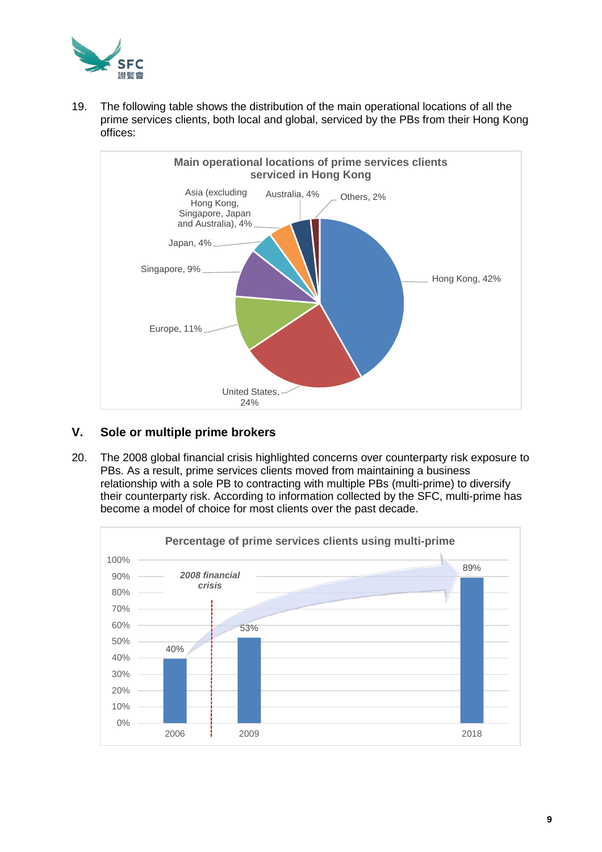

19. The following table shows the distribution of the main operational locations of all the prime services clients, both local and global, serviced by the PBs from their Hong Kong offices:



# **V. Sole or multiple prime brokers**

20. The 2008 global financial crisis highlighted concerns over counterparty risk exposure to PBs. As a result, prime services clients moved from maintaining a business relationship with a sole PB to contracting with multiple PBs (multi-prime) to diversify their counterparty risk. According to information collected by the SFC, multi-prime has become a model of choice for most clients over the past decade.

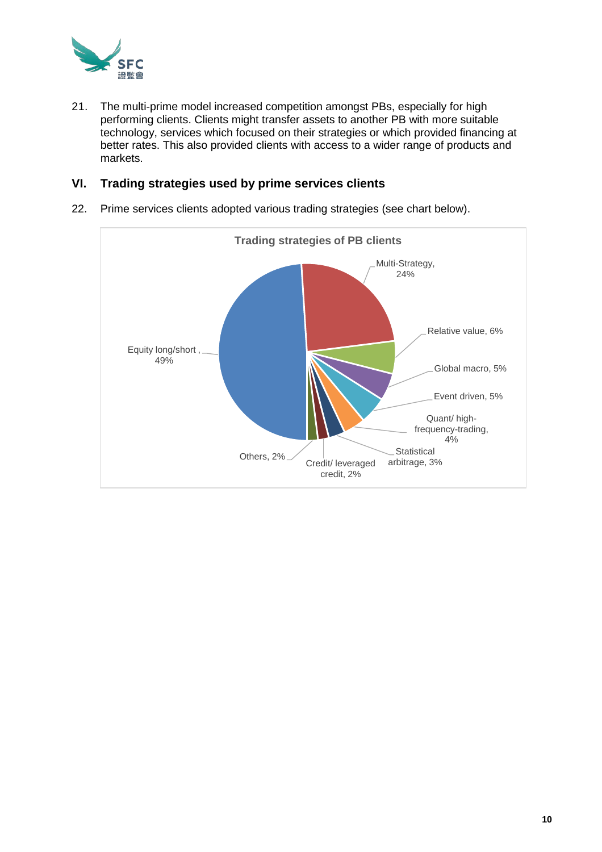

21. The multi-prime model increased competition amongst PBs, especially for high performing clients. Clients might transfer assets to another PB with more suitable technology, services which focused on their strategies or which provided financing at better rates. This also provided clients with access to a wider range of products and markets.

## **VI. Trading strategies used by prime services clients**

22. Prime services clients adopted various trading strategies (see chart below).

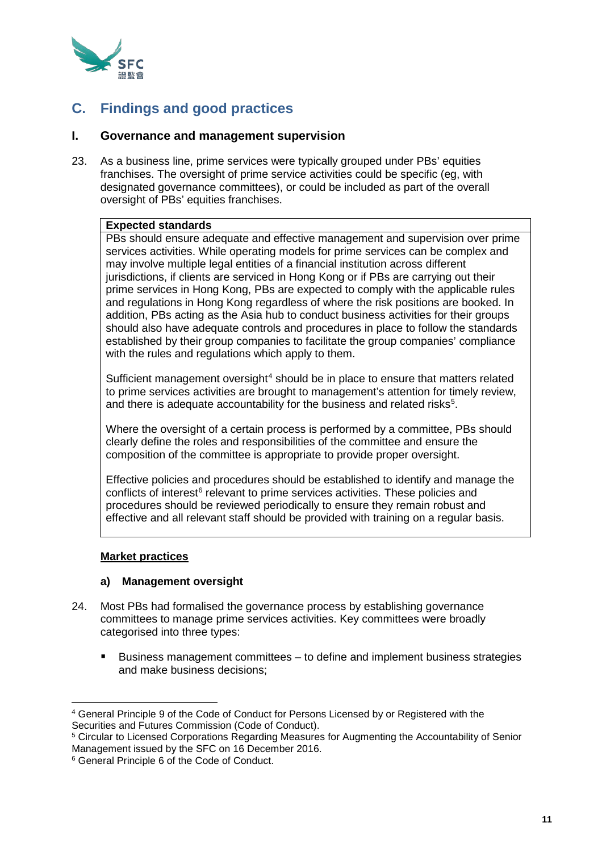

# **C. Findings and good practices**

## **I. Governance and management supervision**

23. As a business line, prime services were typically grouped under PBs' equities franchises. The oversight of prime service activities could be specific (eg, with designated governance committees), or could be included as part of the overall oversight of PBs' equities franchises.

## **Expected standards**

PBs should ensure adequate and effective management and supervision over prime services activities. While operating models for prime services can be complex and may involve multiple legal entities of a financial institution across different jurisdictions, if clients are serviced in Hong Kong or if PBs are carrying out their prime services in Hong Kong, PBs are expected to comply with the applicable rules and regulations in Hong Kong regardless of where the risk positions are booked. In addition, PBs acting as the Asia hub to conduct business activities for their groups should also have adequate controls and procedures in place to follow the standards established by their group companies to facilitate the group companies' compliance with the rules and regulations which apply to them.

Sufficient management oversight<sup>[4](#page-10-0)</sup> should be in place to ensure that matters related to prime services activities are brought to management's attention for timely review, and there is adequate accountability for the business and related risks $^5$  $^5$ .

Where the oversight of a certain process is performed by a committee, PBs should clearly define the roles and responsibilities of the committee and ensure the composition of the committee is appropriate to provide proper oversight.

Effective policies and procedures should be established to identify and manage the conflicts of interest<sup>[6](#page-10-2)</sup> relevant to prime services activities. These policies and procedures should be reviewed periodically to ensure they remain robust and effective and all relevant staff should be provided with training on a regular basis.

#### **Market practices**

## **a) Management oversight**

- 24. Most PBs had formalised the governance process by establishing governance committees to manage prime services activities. Key committees were broadly categorised into three types:
	- Business management committees to define and implement business strategies and make business decisions;

<span id="page-10-0"></span><sup>4</sup> General Principle 9 of the Code of Conduct for Persons Licensed by or Registered with the Securities and Futures Commission (Code of Conduct).

<span id="page-10-1"></span><sup>5</sup> Circular to Licensed Corporations Regarding Measures for Augmenting the Accountability of Senior Management issued by the SFC on 16 December 2016.

<span id="page-10-2"></span><sup>6</sup> General Principle 6 of the Code of Conduct.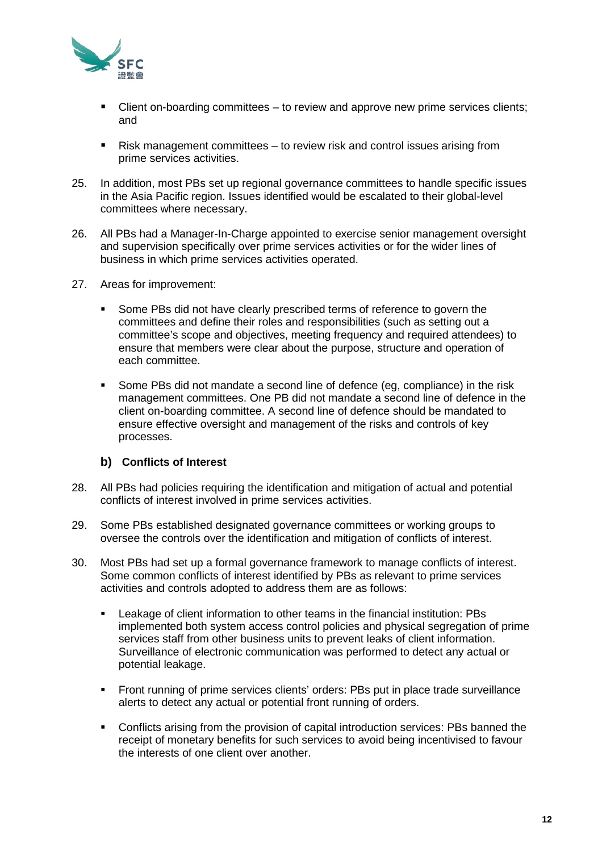

- Client on-boarding committees to review and approve new prime services clients; and
- Risk management committees to review risk and control issues arising from prime services activities.
- 25. In addition, most PBs set up regional governance committees to handle specific issues in the Asia Pacific region. Issues identified would be escalated to their global-level committees where necessary.
- 26. All PBs had a Manager-In-Charge appointed to exercise senior management oversight and supervision specifically over prime services activities or for the wider lines of business in which prime services activities operated.
- 27. Areas for improvement:
	- Some PBs did not have clearly prescribed terms of reference to govern the committees and define their roles and responsibilities (such as setting out a committee's scope and objectives, meeting frequency and required attendees) to ensure that members were clear about the purpose, structure and operation of each committee.
	- Some PBs did not mandate a second line of defence (eg, compliance) in the risk management committees. One PB did not mandate a second line of defence in the client on-boarding committee. A second line of defence should be mandated to ensure effective oversight and management of the risks and controls of key processes.

## **b) Conflicts of Interest**

- 28. All PBs had policies requiring the identification and mitigation of actual and potential conflicts of interest involved in prime services activities.
- 29. Some PBs established designated governance committees or working groups to oversee the controls over the identification and mitigation of conflicts of interest.
- 30. Most PBs had set up a formal governance framework to manage conflicts of interest. Some common conflicts of interest identified by PBs as relevant to prime services activities and controls adopted to address them are as follows:
	- Leakage of client information to other teams in the financial institution: PBs implemented both system access control policies and physical segregation of prime services staff from other business units to prevent leaks of client information. Surveillance of electronic communication was performed to detect any actual or potential leakage.
	- Front running of prime services clients' orders: PBs put in place trade surveillance alerts to detect any actual or potential front running of orders.
	- Conflicts arising from the provision of capital introduction services: PBs banned the receipt of monetary benefits for such services to avoid being incentivised to favour the interests of one client over another.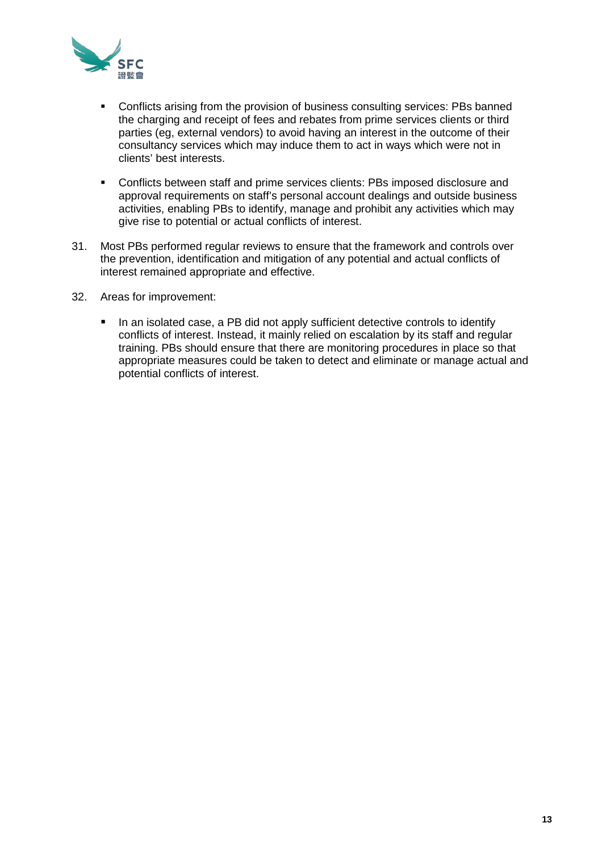

- Conflicts arising from the provision of business consulting services: PBs banned the charging and receipt of fees and rebates from prime services clients or third parties (eg, external vendors) to avoid having an interest in the outcome of their consultancy services which may induce them to act in ways which were not in clients' best interests.
- Conflicts between staff and prime services clients: PBs imposed disclosure and approval requirements on staff's personal account dealings and outside business activities, enabling PBs to identify, manage and prohibit any activities which may give rise to potential or actual conflicts of interest.
- 31. Most PBs performed regular reviews to ensure that the framework and controls over the prevention, identification and mitigation of any potential and actual conflicts of interest remained appropriate and effective.
- 32. Areas for improvement:
	- In an isolated case, a PB did not apply sufficient detective controls to identify conflicts of interest. Instead, it mainly relied on escalation by its staff and regular training. PBs should ensure that there are monitoring procedures in place so that appropriate measures could be taken to detect and eliminate or manage actual and potential conflicts of interest.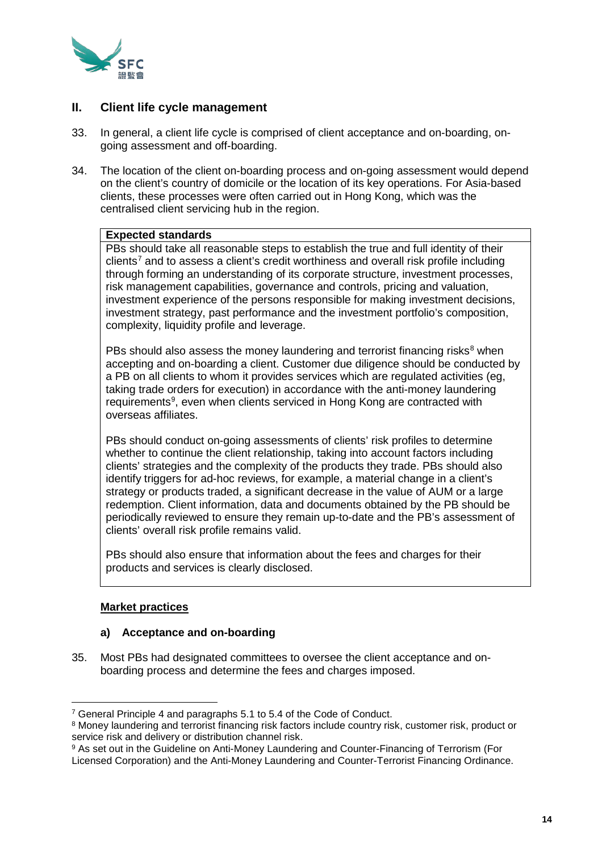

# **II. Client life cycle management**

- 33. In general, a client life cycle is comprised of client acceptance and on-boarding, ongoing assessment and off-boarding.
- 34. The location of the client on-boarding process and on-going assessment would depend on the client's country of domicile or the location of its key operations. For Asia-based clients, these processes were often carried out in Hong Kong, which was the centralised client servicing hub in the region.

## **Expected standards**

PBs should take all reasonable steps to establish the true and full identity of their  $c$ lients<sup>[7](#page-13-0)</sup> and to assess a client's credit worthiness and overall risk profile including through forming an understanding of its corporate structure, investment processes, risk management capabilities, governance and controls, pricing and valuation, investment experience of the persons responsible for making investment decisions, investment strategy, past performance and the investment portfolio's composition, complexity, liquidity profile and leverage.

PBs should also assess the money laundering and terrorist financing risks $8$  when accepting and on-boarding a client. Customer due diligence should be conducted by a PB on all clients to whom it provides services which are regulated activities (eg, taking trade orders for execution) in accordance with the anti-money laundering requirements<sup>[9](#page-13-2)</sup>, even when clients serviced in Hong Kong are contracted with overseas affiliates.

PBs should conduct on-going assessments of clients' risk profiles to determine whether to continue the client relationship, taking into account factors including clients' strategies and the complexity of the products they trade. PBs should also identify triggers for ad-hoc reviews, for example, a material change in a client's strategy or products traded, a significant decrease in the value of AUM or a large redemption. Client information, data and documents obtained by the PB should be periodically reviewed to ensure they remain up-to-date and the PB's assessment of clients' overall risk profile remains valid.

PBs should also ensure that information about the fees and charges for their products and services is clearly disclosed.

## **Market practices**

#### **a) Acceptance and on-boarding**

35. Most PBs had designated committees to oversee the client acceptance and onboarding process and determine the fees and charges imposed.

<span id="page-13-0"></span><sup>7</sup> General Principle 4 and paragraphs 5.1 to 5.4 of the Code of Conduct.

<span id="page-13-1"></span><sup>8</sup> Money laundering and terrorist financing risk factors include country risk, customer risk, product or service risk and delivery or distribution channel risk.

<span id="page-13-2"></span><sup>9</sup> As set out in the Guideline on Anti-Money Laundering and Counter-Financing of Terrorism (For Licensed Corporation) and the Anti-Money Laundering and Counter-Terrorist Financing Ordinance.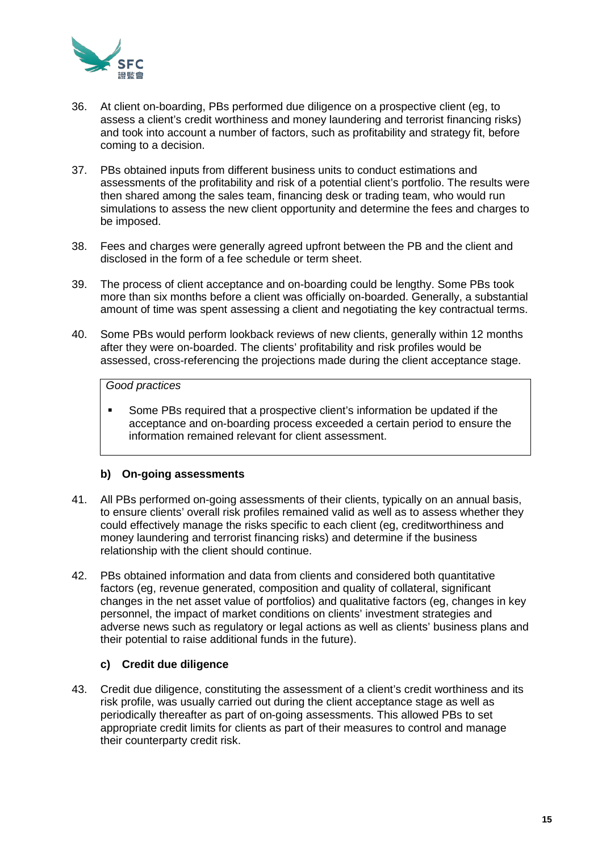

- 36. At client on-boarding, PBs performed due diligence on a prospective client (eg, to assess a client's credit worthiness and money laundering and terrorist financing risks) and took into account a number of factors, such as profitability and strategy fit, before coming to a decision.
- 37. PBs obtained inputs from different business units to conduct estimations and assessments of the profitability and risk of a potential client's portfolio. The results were then shared among the sales team, financing desk or trading team, who would run simulations to assess the new client opportunity and determine the fees and charges to be imposed.
- 38. Fees and charges were generally agreed upfront between the PB and the client and disclosed in the form of a fee schedule or term sheet.
- 39. The process of client acceptance and on-boarding could be lengthy. Some PBs took more than six months before a client was officially on-boarded. Generally, a substantial amount of time was spent assessing a client and negotiating the key contractual terms.
- 40. Some PBs would perform lookback reviews of new clients, generally within 12 months after they were on-boarded. The clients' profitability and risk profiles would be assessed, cross-referencing the projections made during the client acceptance stage.

## *Good practices*

 Some PBs required that a prospective client's information be updated if the acceptance and on-boarding process exceeded a certain period to ensure the information remained relevant for client assessment.

## **b) On-going assessments**

- 41. All PBs performed on-going assessments of their clients, typically on an annual basis, to ensure clients' overall risk profiles remained valid as well as to assess whether they could effectively manage the risks specific to each client (eg, creditworthiness and money laundering and terrorist financing risks) and determine if the business relationship with the client should continue.
- 42. PBs obtained information and data from clients and considered both quantitative factors (eg, revenue generated, composition and quality of collateral, significant changes in the net asset value of portfolios) and qualitative factors (eg, changes in key personnel, the impact of market conditions on clients' investment strategies and adverse news such as regulatory or legal actions as well as clients' business plans and their potential to raise additional funds in the future).

## **c) Credit due diligence**

43. Credit due diligence, constituting the assessment of a client's credit worthiness and its risk profile, was usually carried out during the client acceptance stage as well as periodically thereafter as part of on-going assessments. This allowed PBs to set appropriate credit limits for clients as part of their measures to control and manage their counterparty credit risk.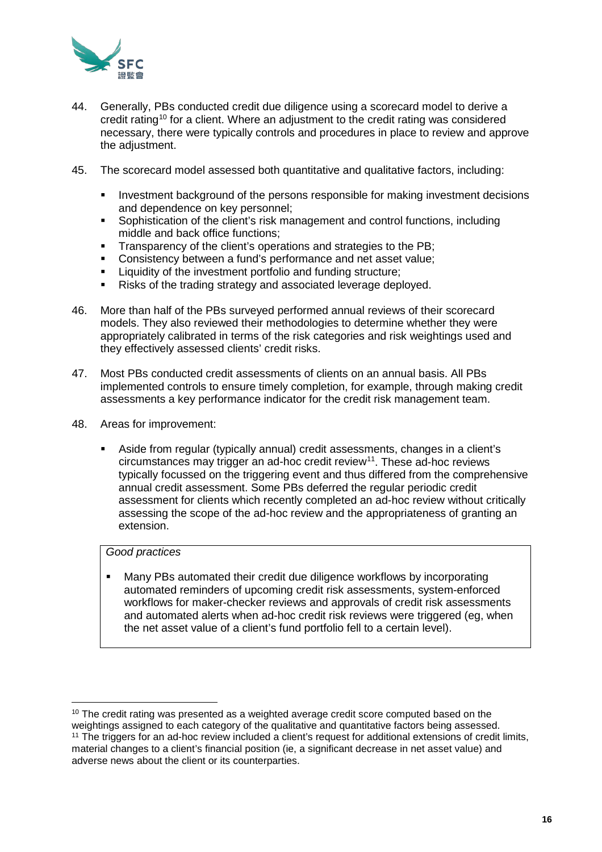

- 44. Generally, PBs conducted credit due diligence using a scorecard model to derive a credit rating<sup>[10](#page-15-0)</sup> for a client. Where an adjustment to the credit rating was considered necessary, there were typically controls and procedures in place to review and approve the adjustment.
- 45. The scorecard model assessed both quantitative and qualitative factors, including:
	- Investment background of the persons responsible for making investment decisions and dependence on key personnel;
	- Sophistication of the client's risk management and control functions, including middle and back office functions;
	- **Transparency of the client's operations and strategies to the PB;**
	- Consistency between a fund's performance and net asset value;
	- Liquidity of the investment portfolio and funding structure;
	- Risks of the trading strategy and associated leverage deployed.
- 46. More than half of the PBs surveyed performed annual reviews of their scorecard models. They also reviewed their methodologies to determine whether they were appropriately calibrated in terms of the risk categories and risk weightings used and they effectively assessed clients' credit risks.
- 47. Most PBs conducted credit assessments of clients on an annual basis. All PBs implemented controls to ensure timely completion, for example, through making credit assessments a key performance indicator for the credit risk management team.
- 48. Areas for improvement:
	- Aside from regular (typically annual) credit assessments, changes in a client's circumstances may trigger an ad-hoc credit review[11.](#page-15-1) These ad-hoc reviews typically focussed on the triggering event and thus differed from the comprehensive annual credit assessment. Some PBs deferred the regular periodic credit assessment for clients which recently completed an ad-hoc review without critically assessing the scope of the ad-hoc review and the appropriateness of granting an extension.

## *Good practices*

 Many PBs automated their credit due diligence workflows by incorporating automated reminders of upcoming credit risk assessments, system-enforced workflows for maker-checker reviews and approvals of credit risk assessments and automated alerts when ad-hoc credit risk reviews were triggered (eg, when the net asset value of a client's fund portfolio fell to a certain level).

 $10$  The credit rating was presented as a weighted average credit score computed based on the

<span id="page-15-1"></span><span id="page-15-0"></span>weightings assigned to each category of the qualitative and quantitative factors being assessed. <sup>11</sup> The triggers for an ad-hoc review included a client's request for additional extensions of credit limits, material changes to a client's financial position (ie, a significant decrease in net asset value) and adverse news about the client or its counterparties.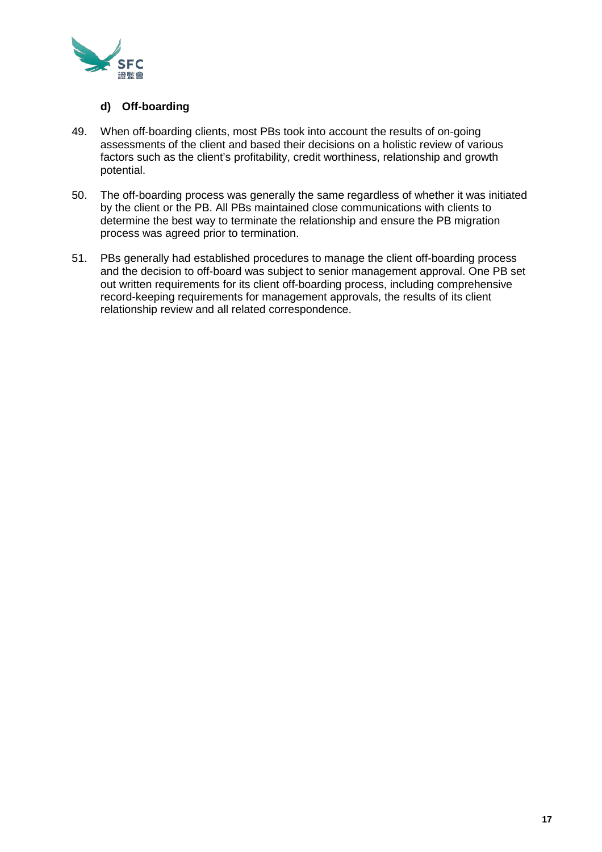

## **d) Off-boarding**

- 49. When off-boarding clients, most PBs took into account the results of on-going assessments of the client and based their decisions on a holistic review of various factors such as the client's profitability, credit worthiness, relationship and growth potential.
- 50. The off-boarding process was generally the same regardless of whether it was initiated by the client or the PB. All PBs maintained close communications with clients to determine the best way to terminate the relationship and ensure the PB migration process was agreed prior to termination.
- 51. PBs generally had established procedures to manage the client off-boarding process and the decision to off-board was subject to senior management approval. One PB set out written requirements for its client off-boarding process, including comprehensive record-keeping requirements for management approvals, the results of its client relationship review and all related correspondence.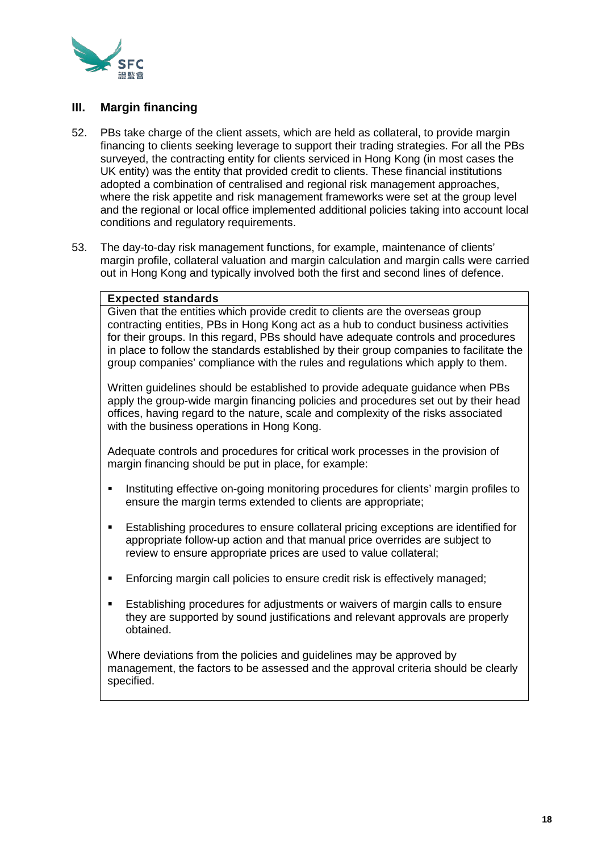

## **III. Margin financing**

- 52. PBs take charge of the client assets, which are held as collateral, to provide margin financing to clients seeking leverage to support their trading strategies. For all the PBs surveyed, the contracting entity for clients serviced in Hong Kong (in most cases the UK entity) was the entity that provided credit to clients. These financial institutions adopted a combination of centralised and regional risk management approaches, where the risk appetite and risk management frameworks were set at the group level and the regional or local office implemented additional policies taking into account local conditions and regulatory requirements.
- 53. The day-to-day risk management functions, for example, maintenance of clients' margin profile, collateral valuation and margin calculation and margin calls were carried out in Hong Kong and typically involved both the first and second lines of defence.

#### **Expected standards**

Given that the entities which provide credit to clients are the overseas group contracting entities, PBs in Hong Kong act as a hub to conduct business activities for their groups. In this regard, PBs should have adequate controls and procedures in place to follow the standards established by their group companies to facilitate the group companies' compliance with the rules and regulations which apply to them.

Written guidelines should be established to provide adequate guidance when PBs apply the group-wide margin financing policies and procedures set out by their head offices, having regard to the nature, scale and complexity of the risks associated with the business operations in Hong Kong.

Adequate controls and procedures for critical work processes in the provision of margin financing should be put in place, for example:

- **Instituting effective on-going monitoring procedures for clients' margin profiles to** ensure the margin terms extended to clients are appropriate;
- Establishing procedures to ensure collateral pricing exceptions are identified for appropriate follow-up action and that manual price overrides are subject to review to ensure appropriate prices are used to value collateral;
- Enforcing margin call policies to ensure credit risk is effectively managed;
- Establishing procedures for adjustments or waivers of margin calls to ensure they are supported by sound justifications and relevant approvals are properly obtained.

Where deviations from the policies and guidelines may be approved by management, the factors to be assessed and the approval criteria should be clearly specified.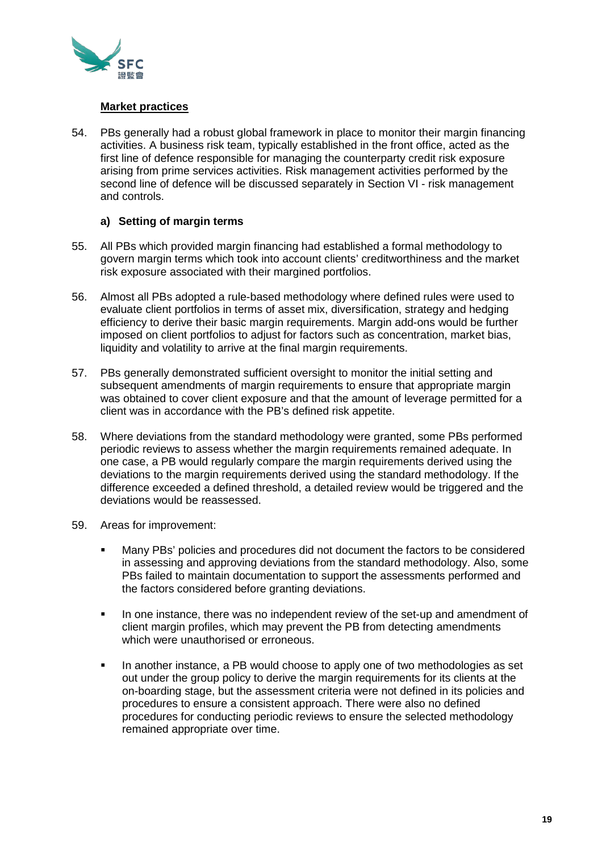

## **Market practices**

54. PBs generally had a robust global framework in place to monitor their margin financing activities. A business risk team, typically established in the front office, acted as the first line of defence responsible for managing the counterparty credit risk exposure arising from prime services activities. Risk management activities performed by the second line of defence will be discussed separately in Section VI - risk management and controls.

## **a) Setting of margin terms**

- 55. All PBs which provided margin financing had established a formal methodology to govern margin terms which took into account clients' creditworthiness and the market risk exposure associated with their margined portfolios.
- 56. Almost all PBs adopted a rule-based methodology where defined rules were used to evaluate client portfolios in terms of asset mix, diversification, strategy and hedging efficiency to derive their basic margin requirements. Margin add-ons would be further imposed on client portfolios to adjust for factors such as concentration, market bias, liquidity and volatility to arrive at the final margin requirements.
- 57. PBs generally demonstrated sufficient oversight to monitor the initial setting and subsequent amendments of margin requirements to ensure that appropriate margin was obtained to cover client exposure and that the amount of leverage permitted for a client was in accordance with the PB's defined risk appetite.
- 58. Where deviations from the standard methodology were granted, some PBs performed periodic reviews to assess whether the margin requirements remained adequate. In one case, a PB would regularly compare the margin requirements derived using the deviations to the margin requirements derived using the standard methodology. If the difference exceeded a defined threshold, a detailed review would be triggered and the deviations would be reassessed.
- 59. Areas for improvement:
	- Many PBs' policies and procedures did not document the factors to be considered in assessing and approving deviations from the standard methodology. Also, some PBs failed to maintain documentation to support the assessments performed and the factors considered before granting deviations.
	- In one instance, there was no independent review of the set-up and amendment of client margin profiles, which may prevent the PB from detecting amendments which were unauthorised or erroneous.
	- In another instance, a PB would choose to apply one of two methodologies as set out under the group policy to derive the margin requirements for its clients at the on-boarding stage, but the assessment criteria were not defined in its policies and procedures to ensure a consistent approach. There were also no defined procedures for conducting periodic reviews to ensure the selected methodology remained appropriate over time.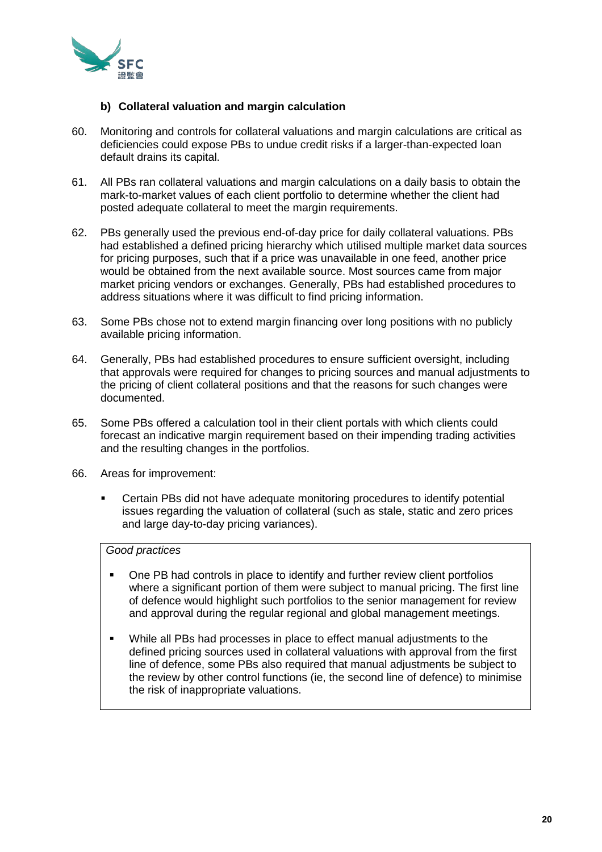

## **b) Collateral valuation and margin calculation**

- 60. Monitoring and controls for collateral valuations and margin calculations are critical as deficiencies could expose PBs to undue credit risks if a larger-than-expected loan default drains its capital.
- 61. All PBs ran collateral valuations and margin calculations on a daily basis to obtain the mark-to-market values of each client portfolio to determine whether the client had posted adequate collateral to meet the margin requirements.
- 62. PBs generally used the previous end-of-day price for daily collateral valuations. PBs had established a defined pricing hierarchy which utilised multiple market data sources for pricing purposes, such that if a price was unavailable in one feed, another price would be obtained from the next available source. Most sources came from major market pricing vendors or exchanges. Generally, PBs had established procedures to address situations where it was difficult to find pricing information.
- 63. Some PBs chose not to extend margin financing over long positions with no publicly available pricing information.
- 64. Generally, PBs had established procedures to ensure sufficient oversight, including that approvals were required for changes to pricing sources and manual adjustments to the pricing of client collateral positions and that the reasons for such changes were documented.
- 65. Some PBs offered a calculation tool in their client portals with which clients could forecast an indicative margin requirement based on their impending trading activities and the resulting changes in the portfolios.
- 66. Areas for improvement:
	- Certain PBs did not have adequate monitoring procedures to identify potential issues regarding the valuation of collateral (such as stale, static and zero prices and large day-to-day pricing variances).

# *Good practices*

- One PB had controls in place to identify and further review client portfolios where a significant portion of them were subject to manual pricing. The first line of defence would highlight such portfolios to the senior management for review and approval during the regular regional and global management meetings.
- While all PBs had processes in place to effect manual adjustments to the defined pricing sources used in collateral valuations with approval from the first line of defence, some PBs also required that manual adjustments be subject to the review by other control functions (ie, the second line of defence) to minimise the risk of inappropriate valuations.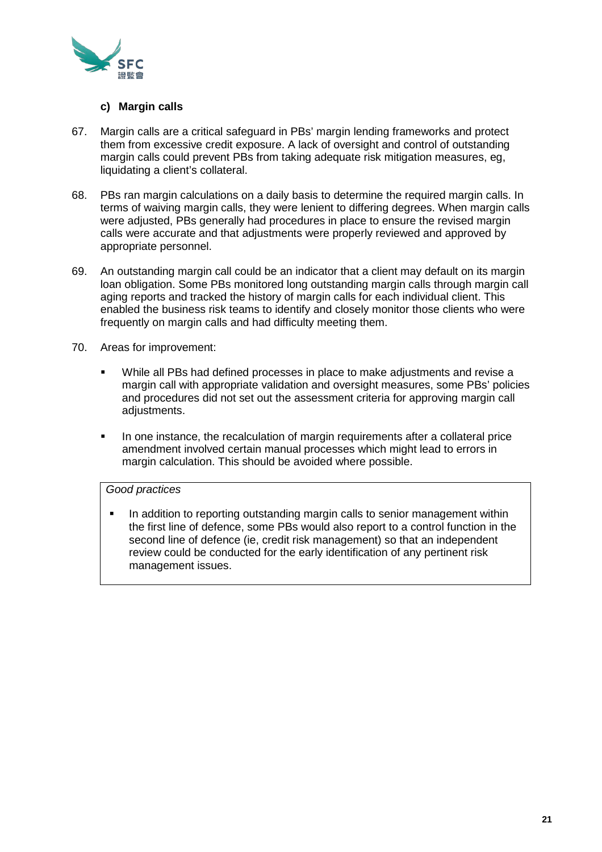

## **c) Margin calls**

- 67. Margin calls are a critical safeguard in PBs' margin lending frameworks and protect them from excessive credit exposure. A lack of oversight and control of outstanding margin calls could prevent PBs from taking adequate risk mitigation measures, eg, liquidating a client's collateral.
- 68. PBs ran margin calculations on a daily basis to determine the required margin calls. In terms of waiving margin calls, they were lenient to differing degrees. When margin calls were adjusted, PBs generally had procedures in place to ensure the revised margin calls were accurate and that adjustments were properly reviewed and approved by appropriate personnel.
- 69. An outstanding margin call could be an indicator that a client may default on its margin loan obligation. Some PBs monitored long outstanding margin calls through margin call aging reports and tracked the history of margin calls for each individual client. This enabled the business risk teams to identify and closely monitor those clients who were frequently on margin calls and had difficulty meeting them.
- 70. Areas for improvement:
	- While all PBs had defined processes in place to make adjustments and revise a margin call with appropriate validation and oversight measures, some PBs' policies and procedures did not set out the assessment criteria for approving margin call adjustments.
	- In one instance, the recalculation of margin requirements after a collateral price amendment involved certain manual processes which might lead to errors in margin calculation. This should be avoided where possible.

#### *Good practices*

 In addition to reporting outstanding margin calls to senior management within the first line of defence, some PBs would also report to a control function in the second line of defence (ie, credit risk management) so that an independent review could be conducted for the early identification of any pertinent risk management issues.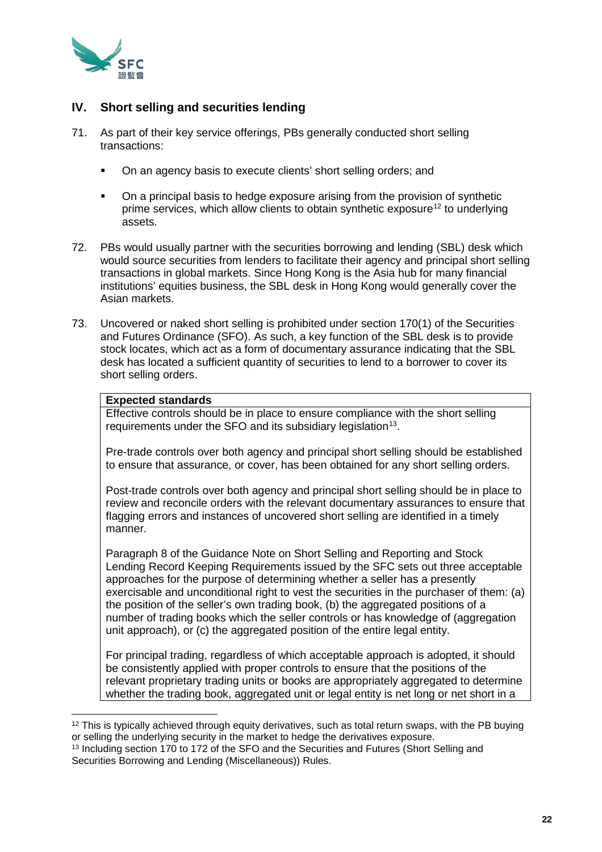

# **IV. Short selling and securities lending**

- 71. As part of their key service offerings, PBs generally conducted short selling transactions:
	- On an agency basis to execute clients' short selling orders; and
	- On a principal basis to hedge exposure arising from the provision of synthetic prime services, which allow clients to obtain synthetic exposure<sup>[12](#page-21-0)</sup> to underlying assets.
- 72. PBs would usually partner with the securities borrowing and lending (SBL) desk which would source securities from lenders to facilitate their agency and principal short selling transactions in global markets. Since Hong Kong is the Asia hub for many financial institutions' equities business, the SBL desk in Hong Kong would generally cover the Asian markets.
- 73. Uncovered or naked short selling is prohibited under section 170(1) of the Securities and Futures Ordinance (SFO). As such, a key function of the SBL desk is to provide stock locates, which act as a form of documentary assurance indicating that the SBL desk has located a sufficient quantity of securities to lend to a borrower to cover its short selling orders.

#### **Expected standards**

Effective controls should be in place to ensure compliance with the short selling requirements under the SFO and its subsidiary legislation<sup>[13](#page-21-1)</sup>.

Pre-trade controls over both agency and principal short selling should be established to ensure that assurance, or cover, has been obtained for any short selling orders.

Post-trade controls over both agency and principal short selling should be in place to review and reconcile orders with the relevant documentary assurances to ensure that flagging errors and instances of uncovered short selling are identified in a timely manner.

Paragraph 8 of the Guidance Note on Short Selling and Reporting and Stock Lending Record Keeping Requirements issued by the SFC sets out three acceptable approaches for the purpose of determining whether a seller has a presently exercisable and unconditional right to vest the securities in the purchaser of them: (a) the position of the seller's own trading book, (b) the aggregated positions of a number of trading books which the seller controls or has knowledge of (aggregation unit approach), or (c) the aggregated position of the entire legal entity.

For principal trading, regardless of which acceptable approach is adopted, it should be consistently applied with proper controls to ensure that the positions of the relevant proprietary trading units or books are appropriately aggregated to determine whether the trading book, aggregated unit or legal entity is net long or net short in a

<span id="page-21-0"></span> $12$  This is typically achieved through equity derivatives, such as total return swaps, with the PB buying or selling the underlying security in the market to hedge the derivatives exposure.

<span id="page-21-1"></span><sup>&</sup>lt;sup>13</sup> Including section 170 to 172 of the SFO and the Securities and Futures (Short Selling and Securities Borrowing and Lending (Miscellaneous)) Rules.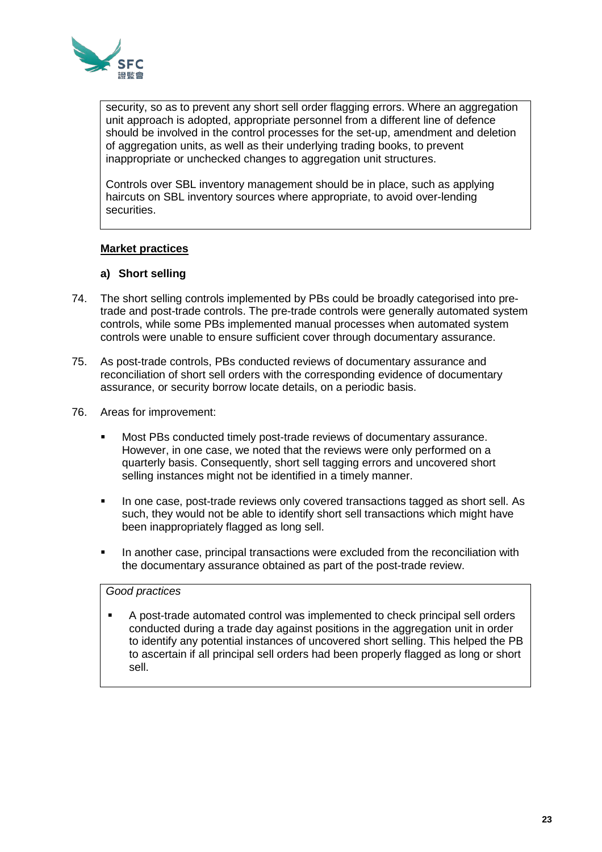

security, so as to prevent any short sell order flagging errors. Where an aggregation unit approach is adopted, appropriate personnel from a different line of defence should be involved in the control processes for the set-up, amendment and deletion of aggregation units, as well as their underlying trading books, to prevent inappropriate or unchecked changes to aggregation unit structures.

Controls over SBL inventory management should be in place, such as applying haircuts on SBL inventory sources where appropriate, to avoid over-lending securities.

## **Market practices**

#### **a) Short selling**

- 74. The short selling controls implemented by PBs could be broadly categorised into pretrade and post-trade controls. The pre-trade controls were generally automated system controls, while some PBs implemented manual processes when automated system controls were unable to ensure sufficient cover through documentary assurance.
- 75. As post-trade controls, PBs conducted reviews of documentary assurance and reconciliation of short sell orders with the corresponding evidence of documentary assurance, or security borrow locate details, on a periodic basis.
- 76. Areas for improvement:
	- Most PBs conducted timely post-trade reviews of documentary assurance. However, in one case, we noted that the reviews were only performed on a quarterly basis. Consequently, short sell tagging errors and uncovered short selling instances might not be identified in a timely manner.
	- In one case, post-trade reviews only covered transactions tagged as short sell. As such, they would not be able to identify short sell transactions which might have been inappropriately flagged as long sell.
	- In another case, principal transactions were excluded from the reconciliation with the documentary assurance obtained as part of the post-trade review.

#### *Good practices*

 A post-trade automated control was implemented to check principal sell orders conducted during a trade day against positions in the aggregation unit in order to identify any potential instances of uncovered short selling. This helped the PB to ascertain if all principal sell orders had been properly flagged as long or short sell.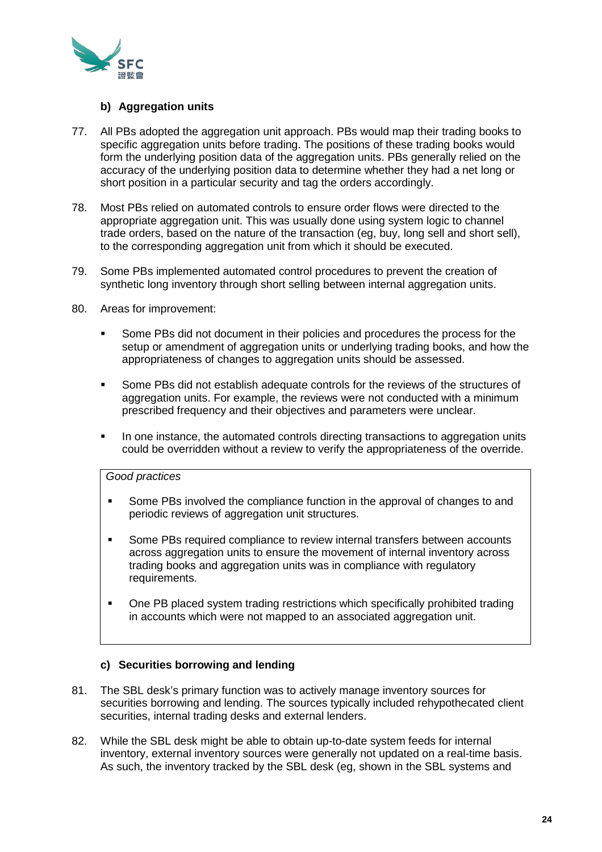

## **b) Aggregation units**

- 77. All PBs adopted the aggregation unit approach. PBs would map their trading books to specific aggregation units before trading. The positions of these trading books would form the underlying position data of the aggregation units. PBs generally relied on the accuracy of the underlying position data to determine whether they had a net long or short position in a particular security and tag the orders accordingly.
- 78. Most PBs relied on automated controls to ensure order flows were directed to the appropriate aggregation unit. This was usually done using system logic to channel trade orders, based on the nature of the transaction (eg, buy, long sell and short sell), to the corresponding aggregation unit from which it should be executed.
- 79. Some PBs implemented automated control procedures to prevent the creation of synthetic long inventory through short selling between internal aggregation units.
- 80. Areas for improvement:
	- Some PBs did not document in their policies and procedures the process for the setup or amendment of aggregation units or underlying trading books, and how the appropriateness of changes to aggregation units should be assessed.
	- Some PBs did not establish adequate controls for the reviews of the structures of aggregation units. For example, the reviews were not conducted with a minimum prescribed frequency and their objectives and parameters were unclear.
	- In one instance, the automated controls directing transactions to aggregation units could be overridden without a review to verify the appropriateness of the override.

#### *Good practices*

- **Some PBs involved the compliance function in the approval of changes to and** periodic reviews of aggregation unit structures.
- Some PBs required compliance to review internal transfers between accounts across aggregation units to ensure the movement of internal inventory across trading books and aggregation units was in compliance with regulatory requirements.
- One PB placed system trading restrictions which specifically prohibited trading in accounts which were not mapped to an associated aggregation unit.

## **c) Securities borrowing and lending**

- 81. The SBL desk's primary function was to actively manage inventory sources for securities borrowing and lending. The sources typically included rehypothecated client securities, internal trading desks and external lenders.
- 82. While the SBL desk might be able to obtain up-to-date system feeds for internal inventory, external inventory sources were generally not updated on a real-time basis. As such, the inventory tracked by the SBL desk (eg, shown in the SBL systems and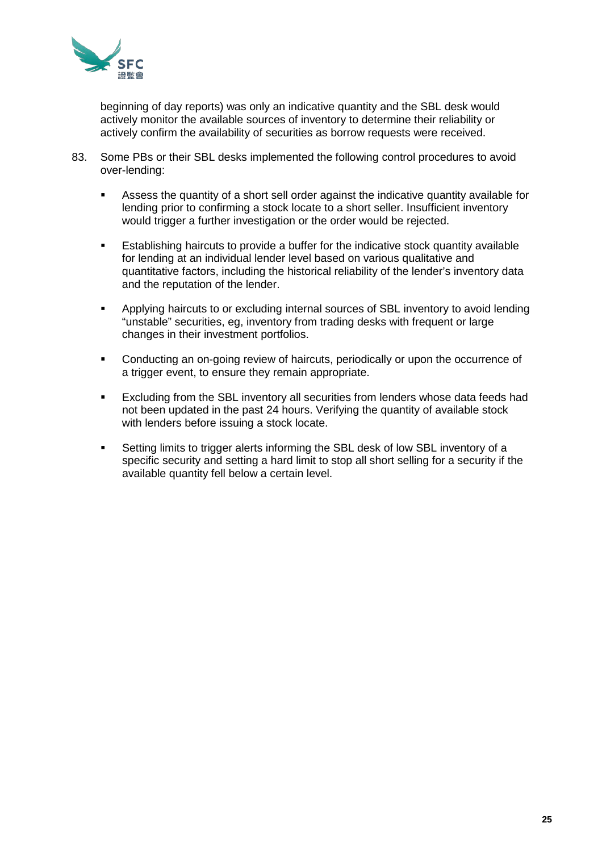

beginning of day reports) was only an indicative quantity and the SBL desk would actively monitor the available sources of inventory to determine their reliability or actively confirm the availability of securities as borrow requests were received.

- 83. Some PBs or their SBL desks implemented the following control procedures to avoid over-lending:
	- Assess the quantity of a short sell order against the indicative quantity available for lending prior to confirming a stock locate to a short seller. Insufficient inventory would trigger a further investigation or the order would be rejected.
	- Establishing haircuts to provide a buffer for the indicative stock quantity available for lending at an individual lender level based on various qualitative and quantitative factors, including the historical reliability of the lender's inventory data and the reputation of the lender.
	- Applying haircuts to or excluding internal sources of SBL inventory to avoid lending "unstable" securities, eg, inventory from trading desks with frequent or large changes in their investment portfolios.
	- **•** Conducting an on-going review of haircuts, periodically or upon the occurrence of a trigger event, to ensure they remain appropriate.
	- Excluding from the SBL inventory all securities from lenders whose data feeds had not been updated in the past 24 hours. Verifying the quantity of available stock with lenders before issuing a stock locate.
	- **Setting limits to trigger alerts informing the SBL desk of low SBL inventory of a** specific security and setting a hard limit to stop all short selling for a security if the available quantity fell below a certain level.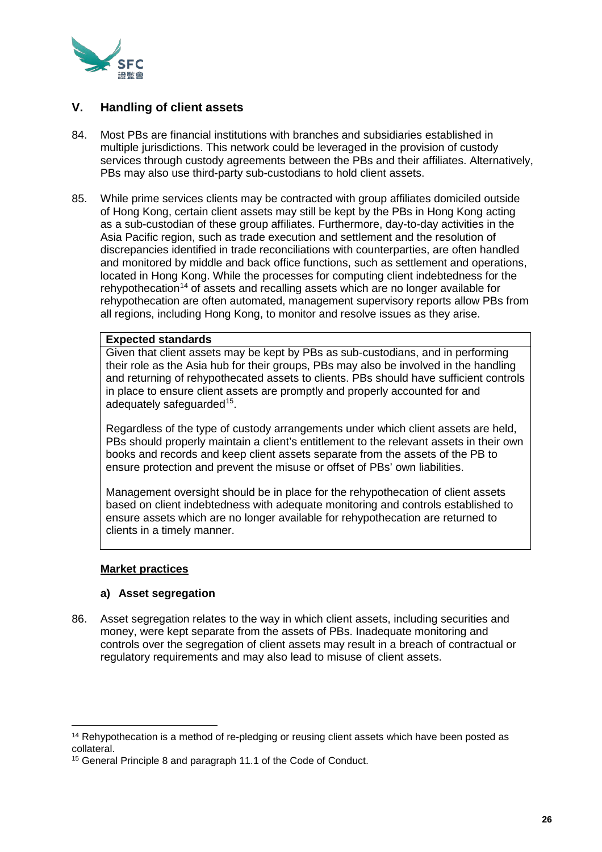

# **V. Handling of client assets**

- 84. Most PBs are financial institutions with branches and subsidiaries established in multiple jurisdictions. This network could be leveraged in the provision of custody services through custody agreements between the PBs and their affiliates. Alternatively, PBs may also use third-party sub-custodians to hold client assets.
- 85. While prime services clients may be contracted with group affiliates domiciled outside of Hong Kong, certain client assets may still be kept by the PBs in Hong Kong acting as a sub-custodian of these group affiliates. Furthermore, day-to-day activities in the Asia Pacific region, such as trade execution and settlement and the resolution of discrepancies identified in trade reconciliations with counterparties, are often handled and monitored by middle and back office functions, such as settlement and operations, located in Hong Kong. While the processes for computing client indebtedness for the rehypothecation<sup>[14](#page-25-0)</sup> of assets and recalling assets which are no longer available for rehypothecation are often automated, management supervisory reports allow PBs from all regions, including Hong Kong, to monitor and resolve issues as they arise.

## **Expected standards**

Given that client assets may be kept by PBs as sub-custodians, and in performing their role as the Asia hub for their groups, PBs may also be involved in the handling and returning of rehypothecated assets to clients. PBs should have sufficient controls in place to ensure client assets are promptly and properly accounted for and adequately safeguarded<sup>15</sup>.

Regardless of the type of custody arrangements under which client assets are held, PBs should properly maintain a client's entitlement to the relevant assets in their own books and records and keep client assets separate from the assets of the PB to ensure protection and prevent the misuse or offset of PBs' own liabilities.

Management oversight should be in place for the rehypothecation of client assets based on client indebtedness with adequate monitoring and controls established to ensure assets which are no longer available for rehypothecation are returned to clients in a timely manner.

#### **Market practices**

## **a) Asset segregation**

86. Asset segregation relates to the way in which client assets, including securities and money, were kept separate from the assets of PBs. Inadequate monitoring and controls over the segregation of client assets may result in a breach of contractual or regulatory requirements and may also lead to misuse of client assets.

<span id="page-25-0"></span><sup>14</sup> Rehypothecation is a method of re-pledging or reusing client assets which have been posted as collateral.

<span id="page-25-1"></span><sup>15</sup> General Principle 8 and paragraph 11.1 of the Code of Conduct.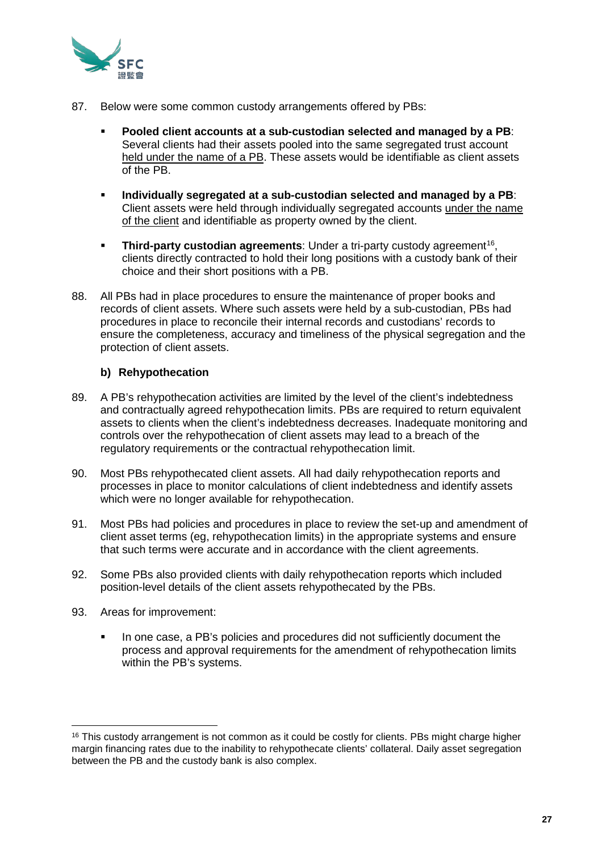

- 87. Below were some common custody arrangements offered by PBs:
	- **Pooled client accounts at a sub-custodian selected and managed by a PB**: Several clients had their assets pooled into the same segregated trust account held under the name of a PB. These assets would be identifiable as client assets of the PB.
	- **Individually segregated at a sub-custodian selected and managed by a PB**: Client assets were held through individually segregated accounts under the name of the client and identifiable as property owned by the client.
	- **Third-party custodian agreements**: Under a tri-party custody agreement<sup>16</sup>, clients directly contracted to hold their long positions with a custody bank of their choice and their short positions with a PB.
- 88. All PBs had in place procedures to ensure the maintenance of proper books and records of client assets. Where such assets were held by a sub-custodian, PBs had procedures in place to reconcile their internal records and custodians' records to ensure the completeness, accuracy and timeliness of the physical segregation and the protection of client assets.

## **b) Rehypothecation**

- 89. A PB's rehypothecation activities are limited by the level of the client's indebtedness and contractually agreed rehypothecation limits. PBs are required to return equivalent assets to clients when the client's indebtedness decreases. Inadequate monitoring and controls over the rehypothecation of client assets may lead to a breach of the regulatory requirements or the contractual rehypothecation limit.
- 90. Most PBs rehypothecated client assets. All had daily rehypothecation reports and processes in place to monitor calculations of client indebtedness and identify assets which were no longer available for rehypothecation.
- 91. Most PBs had policies and procedures in place to review the set-up and amendment of client asset terms (eg, rehypothecation limits) in the appropriate systems and ensure that such terms were accurate and in accordance with the client agreements.
- 92. Some PBs also provided clients with daily rehypothecation reports which included position-level details of the client assets rehypothecated by the PBs.
- 93. Areas for improvement:
	- In one case, a PB's policies and procedures did not sufficiently document the process and approval requirements for the amendment of rehypothecation limits within the PB's systems.

<span id="page-26-0"></span><sup>16</sup> This custody arrangement is not common as it could be costly for clients. PBs might charge higher margin financing rates due to the inability to rehypothecate clients' collateral. Daily asset segregation between the PB and the custody bank is also complex.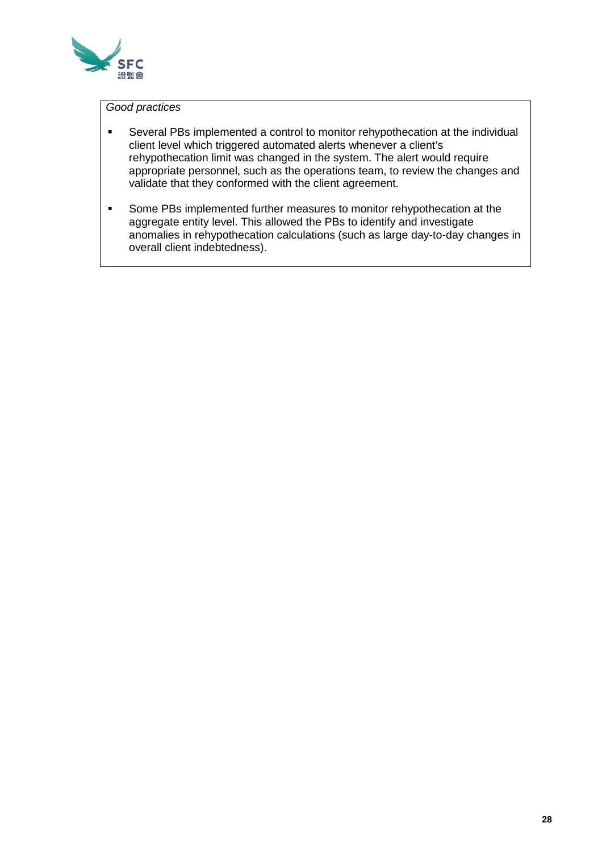

## *Good practices*

- Several PBs implemented a control to monitor rehypothecation at the individual client level which triggered automated alerts whenever a client's rehypothecation limit was changed in the system. The alert would require appropriate personnel, such as the operations team, to review the changes and validate that they conformed with the client agreement.
- **Some PBs implemented further measures to monitor rehypothecation at the** aggregate entity level. This allowed the PBs to identify and investigate anomalies in rehypothecation calculations (such as large day-to-day changes in overall client indebtedness).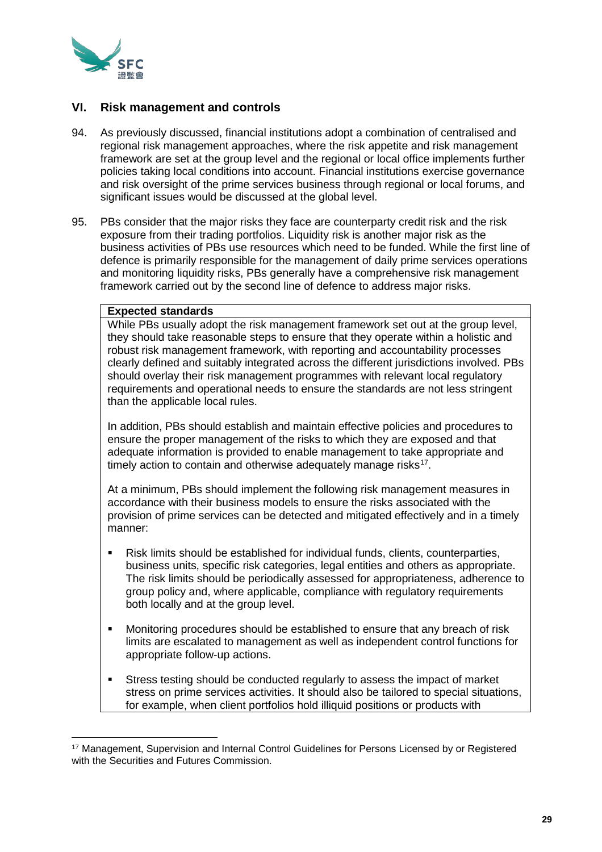

## **VI. Risk management and controls**

- 94. As previously discussed, financial institutions adopt a combination of centralised and regional risk management approaches, where the risk appetite and risk management framework are set at the group level and the regional or local office implements further policies taking local conditions into account. Financial institutions exercise governance and risk oversight of the prime services business through regional or local forums, and significant issues would be discussed at the global level.
- 95. PBs consider that the major risks they face are counterparty credit risk and the risk exposure from their trading portfolios. Liquidity risk is another major risk as the business activities of PBs use resources which need to be funded. While the first line of defence is primarily responsible for the management of daily prime services operations and monitoring liquidity risks, PBs generally have a comprehensive risk management framework carried out by the second line of defence to address major risks.

#### **Expected standards**

While PBs usually adopt the risk management framework set out at the group level, they should take reasonable steps to ensure that they operate within a holistic and robust risk management framework, with reporting and accountability processes clearly defined and suitably integrated across the different jurisdictions involved. PBs should overlay their risk management programmes with relevant local regulatory requirements and operational needs to ensure the standards are not less stringent than the applicable local rules.

In addition, PBs should establish and maintain effective policies and procedures to ensure the proper management of the risks to which they are exposed and that adequate information is provided to enable management to take appropriate and timely action to contain and otherwise adequately manage risks<sup>[17](#page-28-0)</sup>.

At a minimum, PBs should implement the following risk management measures in accordance with their business models to ensure the risks associated with the provision of prime services can be detected and mitigated effectively and in a timely manner:

- Risk limits should be established for individual funds, clients, counterparties, business units, specific risk categories, legal entities and others as appropriate. The risk limits should be periodically assessed for appropriateness, adherence to group policy and, where applicable, compliance with regulatory requirements both locally and at the group level.
- Monitoring procedures should be established to ensure that any breach of risk limits are escalated to management as well as independent control functions for appropriate follow-up actions.
- Stress testing should be conducted regularly to assess the impact of market stress on prime services activities. It should also be tailored to special situations, for example, when client portfolios hold illiquid positions or products with

<span id="page-28-0"></span><sup>17</sup> Management, Supervision and Internal Control Guidelines for Persons Licensed by or Registered with the Securities and Futures Commission.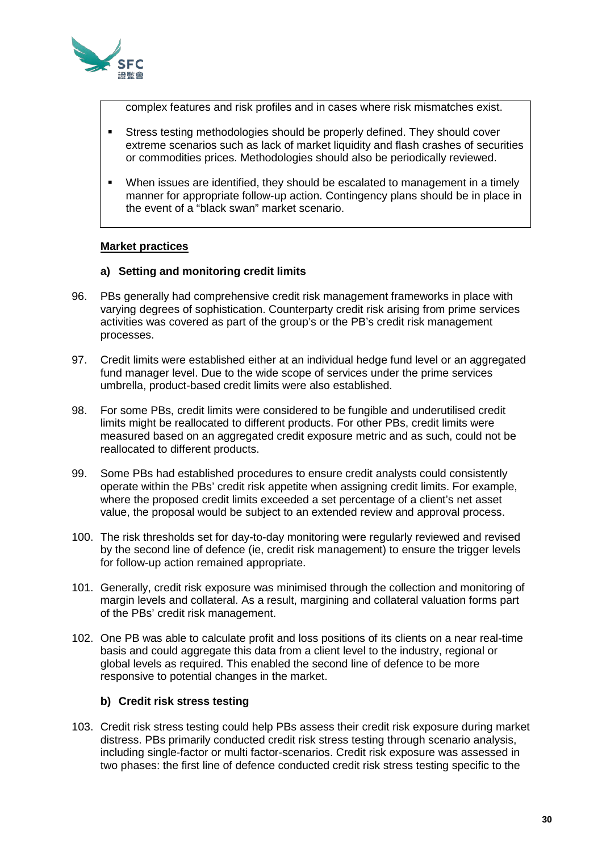

complex features and risk profiles and in cases where risk mismatches exist.

- Stress testing methodologies should be properly defined. They should cover extreme scenarios such as lack of market liquidity and flash crashes of securities or commodities prices. Methodologies should also be periodically reviewed.
- When issues are identified, they should be escalated to management in a timely manner for appropriate follow-up action. Contingency plans should be in place in the event of a "black swan" market scenario.

## **Market practices**

#### **a) Setting and monitoring credit limits**

- 96. PBs generally had comprehensive credit risk management frameworks in place with varying degrees of sophistication. Counterparty credit risk arising from prime services activities was covered as part of the group's or the PB's credit risk management processes.
- 97. Credit limits were established either at an individual hedge fund level or an aggregated fund manager level. Due to the wide scope of services under the prime services umbrella, product-based credit limits were also established.
- 98. For some PBs, credit limits were considered to be fungible and underutilised credit limits might be reallocated to different products. For other PBs, credit limits were measured based on an aggregated credit exposure metric and as such, could not be reallocated to different products.
- 99. Some PBs had established procedures to ensure credit analysts could consistently operate within the PBs' credit risk appetite when assigning credit limits. For example, where the proposed credit limits exceeded a set percentage of a client's net asset value, the proposal would be subject to an extended review and approval process.
- 100. The risk thresholds set for day-to-day monitoring were regularly reviewed and revised by the second line of defence (ie, credit risk management) to ensure the trigger levels for follow-up action remained appropriate.
- 101. Generally, credit risk exposure was minimised through the collection and monitoring of margin levels and collateral. As a result, margining and collateral valuation forms part of the PBs' credit risk management.
- 102. One PB was able to calculate profit and loss positions of its clients on a near real-time basis and could aggregate this data from a client level to the industry, regional or global levels as required. This enabled the second line of defence to be more responsive to potential changes in the market.

## **b) Credit risk stress testing**

103. Credit risk stress testing could help PBs assess their credit risk exposure during market distress. PBs primarily conducted credit risk stress testing through scenario analysis, including single-factor or multi factor-scenarios. Credit risk exposure was assessed in two phases: the first line of defence conducted credit risk stress testing specific to the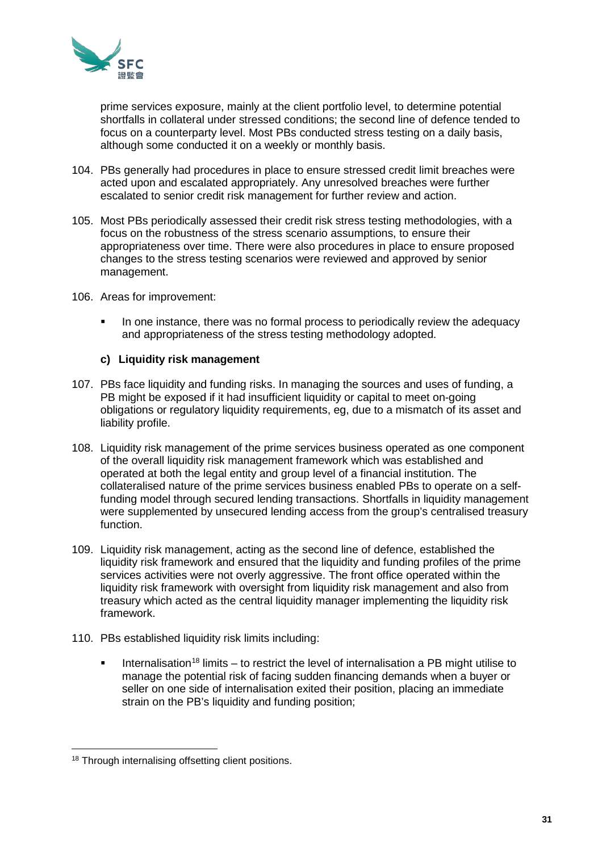

prime services exposure, mainly at the client portfolio level, to determine potential shortfalls in collateral under stressed conditions; the second line of defence tended to focus on a counterparty level. Most PBs conducted stress testing on a daily basis, although some conducted it on a weekly or monthly basis.

- 104. PBs generally had procedures in place to ensure stressed credit limit breaches were acted upon and escalated appropriately. Any unresolved breaches were further escalated to senior credit risk management for further review and action.
- 105. Most PBs periodically assessed their credit risk stress testing methodologies, with a focus on the robustness of the stress scenario assumptions, to ensure their appropriateness over time. There were also procedures in place to ensure proposed changes to the stress testing scenarios were reviewed and approved by senior management.
- 106. Areas for improvement:
	- In one instance, there was no formal process to periodically review the adequacy and appropriateness of the stress testing methodology adopted.

#### **c) Liquidity risk management**

- 107. PBs face liquidity and funding risks. In managing the sources and uses of funding, a PB might be exposed if it had insufficient liquidity or capital to meet on-going obligations or regulatory liquidity requirements, eg, due to a mismatch of its asset and liability profile.
- 108. Liquidity risk management of the prime services business operated as one component of the overall liquidity risk management framework which was established and operated at both the legal entity and group level of a financial institution. The collateralised nature of the prime services business enabled PBs to operate on a selffunding model through secured lending transactions. Shortfalls in liquidity management were supplemented by unsecured lending access from the group's centralised treasury function.
- 109. Liquidity risk management, acting as the second line of defence, established the liquidity risk framework and ensured that the liquidity and funding profiles of the prime services activities were not overly aggressive. The front office operated within the liquidity risk framework with oversight from liquidity risk management and also from treasury which acted as the central liquidity manager implementing the liquidity risk framework.
- 110. PBs established liquidity risk limits including:
	- Internalisation<sup>[18](#page-30-0)</sup> limits to restrict the level of internalisation a PB might utilise to manage the potential risk of facing sudden financing demands when a buyer or seller on one side of internalisation exited their position, placing an immediate strain on the PB's liquidity and funding position;

<span id="page-30-0"></span><sup>18</sup> Through internalising offsetting client positions.